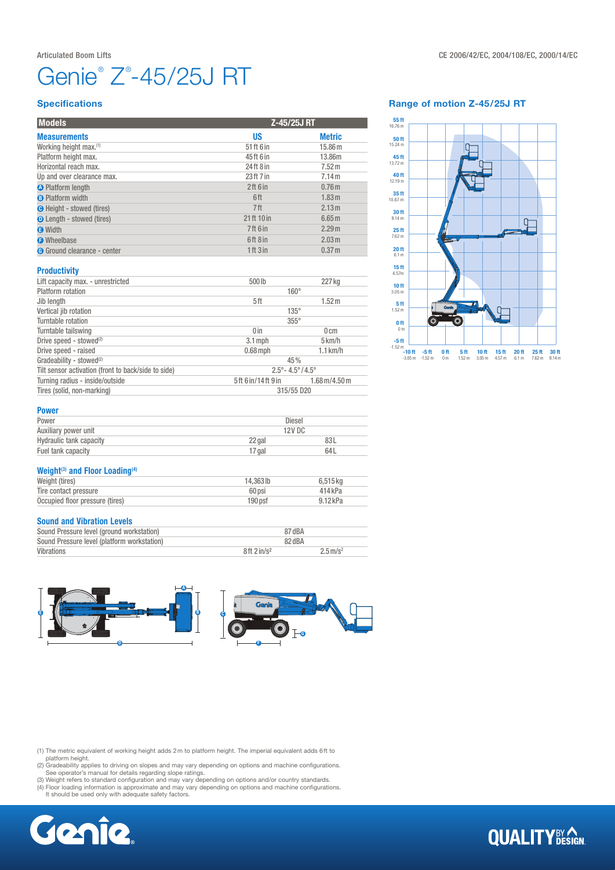Platform height max.

**Specifications** 

Up and over clearance max.

# Genie® Z® -45/25J RT

**B** Platform width 6 ft 1.83m and 1.83m and 1.83m and 1.83m and 1.83m and 1.83m and 1.83m and 1.83m and 1.83m and 1.83m and 1.83m and 1.83m and 1.83m and 1.83m and 1.83m and 1.83m and 1.83m and 1.83m and 1.83m and 1.83m an

Models Z-45/25J RT **Measurements** Metric Metric Metric Metric Metric Metric Metric Metric Metric Metric Metric Metric Metric Metric Working height max.<sup>(1)</sup> 51 ft 6 in 5.86 m<br>Platform height max. 5 and 5.86 m 5.86m 5.586m 5.586m 5.586m 5.586m

Horizontal reach max. 24 ft 8 in 7.52 m<br>
Up and over clearance max. 23 ft 7 in 7.14 m

**C** Platform length **2** ft 6 in 0.76 m<br> **C** Platform width **C** Platform width **2** ft 1.83 m

**C** Height - stowed (tires) **2.13m O** Length - stowed (tires) 21 ft 10 in 6.65 m  $\bullet$  Width  $\bullet$  2.29 m **G** Wheelbase **6 ft 8 in** 2.03 m Go Ground clearance - center 1 ft 3 in 0.37 m

# Range of motion Z-45/25J RT



#### **Productivity**

| Lift capacity max. - unrestricted                   | 500lb                                   | 227 kg                                |
|-----------------------------------------------------|-----------------------------------------|---------------------------------------|
| Platform rotation                                   | $160^\circ$                             |                                       |
| Jib length                                          | 5ft                                     | 1.52 m                                |
| Vertical jib rotation                               | $135^\circ$                             |                                       |
| Turntable rotation                                  | $355^\circ$                             |                                       |
| Turntable tailswing                                 | 0 <sub>in</sub>                         | 0 <sub>cm</sub>                       |
| Drive speed - stowed <sup>(2)</sup>                 | $3.1$ mph                               | $5 \,\mathrm{km/h}$                   |
| Drive speed - raised                                | $0.68$ mph                              | $1.1$ km/h                            |
| Gradeability - stowed <sup>(2)</sup>                | 45%                                     |                                       |
| Tilt sensor activation (front to back/side to side) | $2.5^{\circ} - 4.5^{\circ}/4.5^{\circ}$ |                                       |
| Turning radius - inside/outside                     | 5ft 6 in/14ft 9 in                      | $1.68 \,\mathrm{m}/4.50 \,\mathrm{m}$ |
| Tires (solid, non-marking)                          | 315/55 D20                              |                                       |

| Power                   | Diesel |        |  |
|-------------------------|--------|--------|--|
| Auxiliary power unit    |        | 12V DC |  |
| Hydraulic tank capacity | 22 gal | 83L    |  |
| Fuel tank capacity      | 17 gal | 64L    |  |
|                         |        |        |  |

# Weight $(3)$  and Floor Loading $(4)$

| Weight (tires)                  | 14.363 lb          | 6.515 kg   |
|---------------------------------|--------------------|------------|
| Tire contact pressure           | 60 psi             | 414kPa     |
| Occupied floor pressure (tires) | 190 <sub>psf</sub> | $9.12$ kPa |

#### Sound and Vibration Levels

| Sound Pressure level (ground workstation)   | 87 dBA                    |                        |
|---------------------------------------------|---------------------------|------------------------|
| Sound Pressure level (platform workstation) | 82 dBA                    |                        |
| Vibrations                                  | $8ft$ 2 in/s <sup>2</sup> | $2.5 \,\mathrm{m/s^2}$ |



(1) The metric equivalent of working height adds 2m to platform height. The imperial equivalent adds 6ft to platform height. (2) Gradeability applies to driving on slopes and may vary depending on options and machine configurations.

See operator's manual for details regarding slope ratings. (3) Weight refers to standard configuration and may vary depending on options and/or country standards.

(4) Floor loading information is approximate and may vary depending on options and machine configurations. It should be used only with adequate safety factors.



# **QUALITY**BY AGN